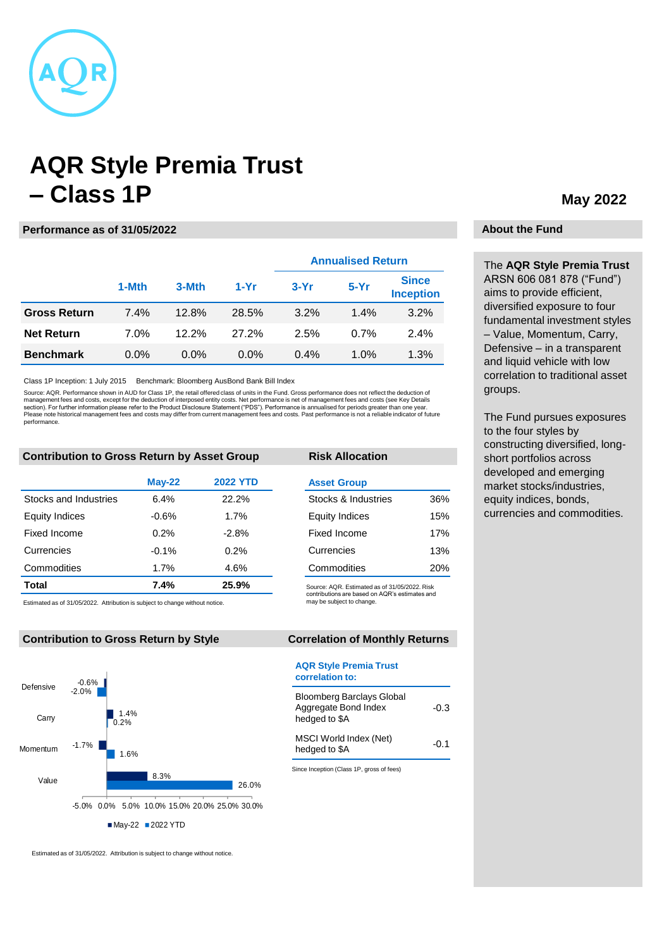

# **AQR Style Premia Trust – Class 1P**

## **Performance as of 31/05/2022**

|                     |         |         |         | <b>Annualised Return</b> |         |                                  |
|---------------------|---------|---------|---------|--------------------------|---------|----------------------------------|
|                     | 1-Mth   | 3-Mth   | $1-Yr$  | $3-Yr$                   | $5-Yr$  | <b>Since</b><br><b>Inception</b> |
| <b>Gross Return</b> | 7.4%    | 12.8%   | 28.5%   | 3.2%                     | 1.4%    | 3.2%                             |
| <b>Net Return</b>   | 7.0%    | 12.2%   | 27.2%   | 2.5%                     | 0.7%    | 2.4%                             |
| <b>Benchmark</b>    | $0.0\%$ | $0.0\%$ | $0.0\%$ | 0.4%                     | $1.0\%$ | 1.3%                             |

Class 1P Inception: 1 July 2015 Benchmark: Bloomberg AusBond Bank Bill Index

Source: AQR. Performance shown in AUD for Class 1P, the retail offered class of units in the Fund. Gross performance does not reflect the deduction of management fees and costs, except for the deduction of interposed entity costs. Net performance is net of management fees and costs (see Key Details<br>section). For further information please refer to the Product Disclosure performance.

## **Contribution to Gross Return by Asset Group**

|                       | <b>May-22</b> | <b>2022 YTD</b> |
|-----------------------|---------------|-----------------|
| Stocks and Industries | 6.4%          | 22.2%           |
| <b>Equity Indices</b> | $-0.6%$       | 1.7%            |
| Fixed Income          | 0.2%          | $-2.8%$         |
| Currencies            | $-0.1%$       | 0.2%            |
| Commodities           | 1.7%          | 4.6%            |
| Total                 | 7.4%          | 25.9%           |

Estimated as of 31/05/2022. Attribution is subject to change without notice.

### **Contribution to Gross Return by Style**



Estimated as of 31/05/2022. Attribution is subject to change without notice.

# **Asset Group Risk Allocation**

| ASSEL UIUUP           |     |
|-----------------------|-----|
| Stocks & Industries   | 36% |
| <b>Equity Indices</b> | 15% |
| Fixed Income          | 17% |
| Currencies            | 13% |
| Commodities           | 20% |

Source: AQR. Estimated as of 31/05/2022. Risk contributions are based on AQR's estimates and may be subject to change.

# **Correlation of Monthly Returns**

#### **AQR Style Premia Trust correlation to:**

| <b>Bloomberg Barclays Global</b><br>Aggregate Bond Index<br>hedged to \$A | -0.3   |
|---------------------------------------------------------------------------|--------|
| MSCI World Index (Net)<br>hedged to \$A                                   | $-0.1$ |

Since Inception (Class 1P, gross of fees)

# **May 2022**

# **About the Fund**

The **AQR Style Premia Trust** ARSN 606 081 878 ("Fund") aims to provide efficient, diversified exposure to four fundamental investment styles – Value, Momentum, Carry, Defensive – in a transparent and liquid vehicle with low correlation to traditional asset groups.

The Fund pursues exposures to the four styles by constructing diversified, longshort portfolios across developed and emerging market stocks/industries, equity indices, bonds, currencies and commodities.